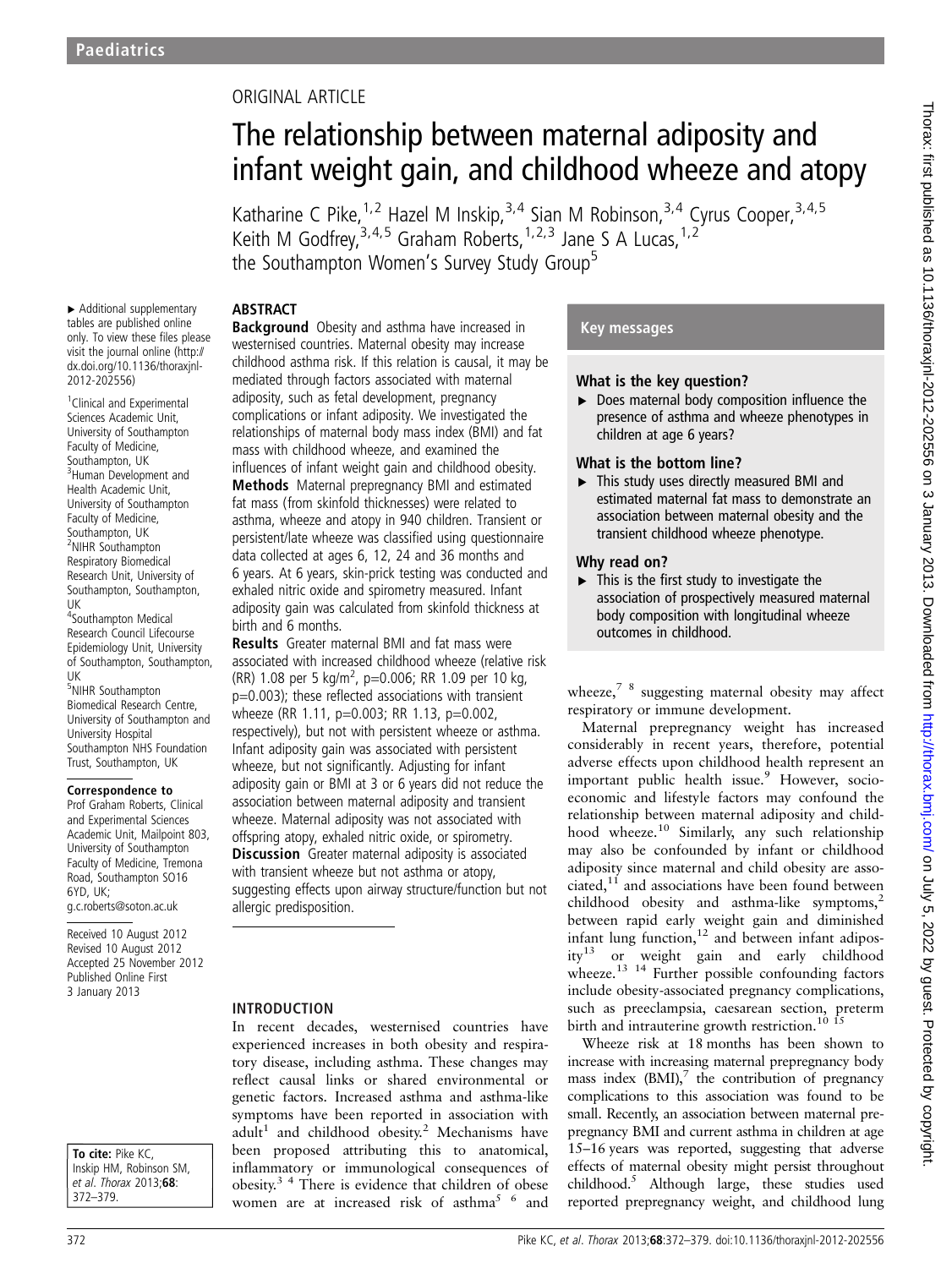# ORIGINAL ARTICLE

# The relationship between maternal adiposity and infant weight gain, and childhood wheeze and atopy

Katharine C Pike, <sup>1, 2</sup> Hazel M Inskip, <sup>3, 4</sup> Sian M Robinson, <sup>3, 4</sup> Cyrus Cooper, <sup>3, 4, 5</sup> Keith M Godfrey,  $3,4,5$  Graham Roberts,  $1,2,3$  Jane S A Lucas,  $1,2$ the Southampton Women's Survey Study Group<sup>5</sup>

#### **ABSTRACT Background** Obesity and asthma have increased in

▸ Additional supplementary tables are published online only. To view these files please visit the journal online (http:// dx.doi.org/10.1136/thoraxjnl-2012-202556)

<sup>1</sup> Clinical and Experimental Sciences Academic Unit, University of Southampton Faculty of Medicine, Southampton, UK <sup>3</sup>Human Development and Health Academic Unit, University of Southampton Faculty of Medicine, Southampton, UK <sup>2</sup>NIHR Southampton Respiratory Biomedical Research Unit, University of Southampton, Southampton, UK

4 Southampton Medical Research Council Lifecourse Epidemiology Unit, University of Southampton, Southampton, UK

5 NIHR Southampton Biomedical Research Centre, University of Southampton and University Hospital Southampton NHS Foundation Trust, Southampton, UK

#### Correspondence to

Prof Graham Roberts, Clinical and Experimental Sciences Academic Unit, Mailpoint 803, University of Southampton Faculty of Medicine, Tremona Road, Southampton SO16 6YD, UK; g.c.roberts@soton.ac.uk

Received 10 August 2012 Revised 10 August 2012 Accepted 25 November 2012 Published Online First 3 January 2013

To cite: Pike KC. Inskip HM, Robinson SM, et al. Thorax 2013;68: 372–379.

complications or infant adiposity. We investigated the relationships of maternal body mass index (BMI) and fat mass with childhood wheeze, and examined the influences of infant weight gain and childhood obesity. Methods Maternal prepregnancy BMI and estimated fat mass (from skinfold thicknesses) were related to asthma, wheeze and atopy in 940 children. Transient or persistent/late wheeze was classified using questionnaire data collected at ages 6, 12, 24 and 36 months and

6 years. At 6 years, skin-prick testing was conducted and exhaled nitric oxide and spirometry measured. Infant adiposity gain was calculated from skinfold thickness at birth and 6 months. Results Greater maternal BMI and fat mass were

westernised countries. Maternal obesity may increase childhood asthma risk. If this relation is causal, it may be mediated through factors associated with maternal adiposity, such as fetal development, pregnancy

associated with increased childhood wheeze (relative risk (RR) 1.08 per 5 kg/m<sup>2</sup>, p=0.006; RR 1.09 per 10 kg, p=0.003); these reflected associations with transient wheeze (RR 1.11, p=0.003; RR 1.13, p=0.002, respectively), but not with persistent wheeze or asthma. Infant adiposity gain was associated with persistent wheeze, but not significantly. Adjusting for infant adiposity gain or BMI at 3 or 6 years did not reduce the association between maternal adiposity and transient wheeze. Maternal adiposity was not associated with offspring atopy, exhaled nitric oxide, or spirometry. **Discussion** Greater maternal adiposity is associated with transient wheeze but not asthma or atopy, suggesting effects upon airway structure/function but not allergic predisposition.

#### INTRODUCTION

In recent decades, westernised countries have experienced increases in both obesity and respiratory disease, including asthma. These changes may reflect causal links or shared environmental or genetic factors. Increased asthma and asthma-like symptoms have been reported in association with  $adult<sup>1</sup>$  and childhood obesity.<sup>2</sup> Mechanisms have been proposed attributing this to anatomical, inflammatory or immunological consequences of obesity.3 4 There is evidence that children of obese women are at increased risk of asthma<sup>5 6</sup> and

#### Key messages

#### What is the key question?

▸ Does maternal body composition influence the presence of asthma and wheeze phenotypes in children at age 6 years?

#### What is the bottom line?

▸ This study uses directly measured BMI and estimated maternal fat mass to demonstrate an association between maternal obesity and the transient childhood wheeze phenotype.

#### Why read on?

 $\triangleright$  This is the first study to investigate the association of prospectively measured maternal body composition with longitudinal wheeze outcomes in childhood.

wheeze, $78$  suggesting maternal obesity may affect respiratory or immune development.

Maternal prepregnancy weight has increased considerably in recent years, therefore, potential adverse effects upon childhood health represent an important public health issue.<sup>9</sup> However, socioeconomic and lifestyle factors may confound the relationship between maternal adiposity and childhood wheeze.<sup>10</sup> Similarly, any such relationship may also be confounded by infant or childhood adiposity since maternal and child obesity are associated, $11$  and associations have been found between childhood obesity and asthma-like symptoms, $2$ between rapid early weight gain and diminished infant lung function, $12$  and between infant adiposity<sup>13</sup> or weight gain and early childhood wheeze.<sup>13</sup> <sup>14</sup> Further possible confounding factors include obesity-associated pregnancy complications, such as preeclampsia, caesarean section, preterm birth and intrauterine growth restriction.<sup>10</sup> <sup>15</sup>

Wheeze risk at 18 months has been shown to increase with increasing maternal prepregnancy body mass index  $(BMI)$ ,<sup>7</sup> the contribution of pregnancy complications to this association was found to be small. Recently, an association between maternal prepregnancy BMI and current asthma in children at age 15–16 years was reported, suggesting that adverse effects of maternal obesity might persist throughout childhood.5 Although large, these studies used reported prepregnancy weight, and childhood lung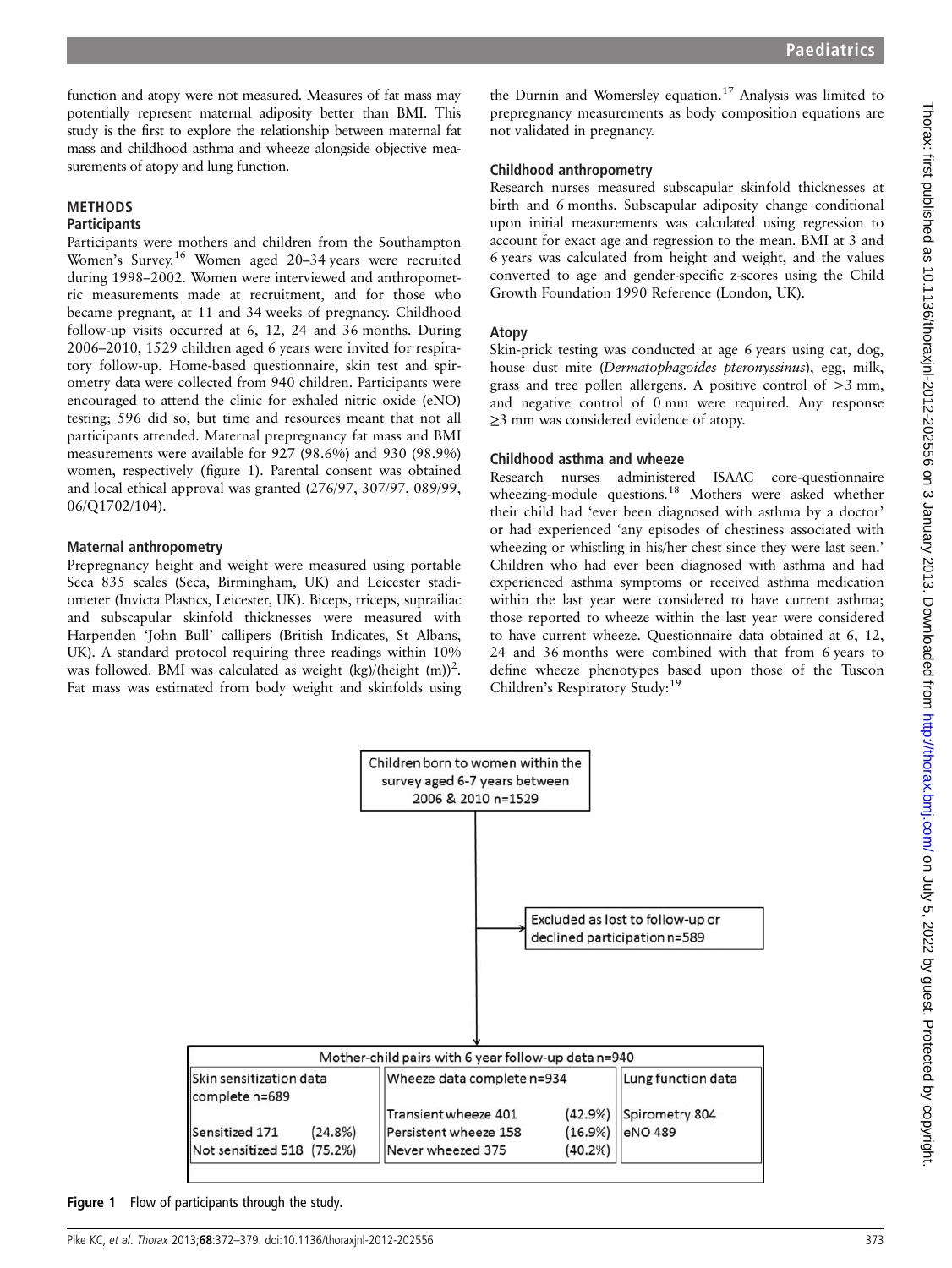function and atopy were not measured. Measures of fat mass may potentially represent maternal adiposity better than BMI. This study is the first to explore the relationship between maternal fat mass and childhood asthma and wheeze alongside objective measurements of atopy and lung function.

# METHODS

### **Participants**

Participants were mothers and children from the Southampton Women's Survey.<sup>16</sup> Women aged 20–34 years were recruited during 1998–2002. Women were interviewed and anthropometric measurements made at recruitment, and for those who became pregnant, at 11 and 34 weeks of pregnancy. Childhood follow-up visits occurred at 6, 12, 24 and 36 months. During 2006–2010, 1529 children aged 6 years were invited for respiratory follow-up. Home-based questionnaire, skin test and spirometry data were collected from 940 children. Participants were encouraged to attend the clinic for exhaled nitric oxide (eNO) testing; 596 did so, but time and resources meant that not all participants attended. Maternal prepregnancy fat mass and BMI measurements were available for 927 (98.6%) and 930 (98.9%) women, respectively (figure 1). Parental consent was obtained and local ethical approval was granted (276/97, 307/97, 089/99, 06/Q1702/104).

#### Maternal anthropometry

Prepregnancy height and weight were measured using portable Seca 835 scales (Seca, Birmingham, UK) and Leicester stadiometer (Invicta Plastics, Leicester, UK). Biceps, triceps, suprailiac and subscapular skinfold thicknesses were measured with Harpenden 'John Bull' callipers (British Indicates, St Albans, UK). A standard protocol requiring three readings within 10% was followed. BMI was calculated as weight (kg)/(height (m))<sup>2</sup>. Fat mass was estimated from body weight and skinfolds using

the Durnin and Womersley equation.<sup>17</sup> Analysis was limited to prepregnancy measurements as body composition equations are not validated in pregnancy.

#### Childhood anthropometry

Research nurses measured subscapular skinfold thicknesses at birth and 6 months. Subscapular adiposity change conditional upon initial measurements was calculated using regression to account for exact age and regression to the mean. BMI at 3 and 6 years was calculated from height and weight, and the values converted to age and gender-specific z-scores using the Child Growth Foundation 1990 Reference (London, UK).

#### Atopy

Skin-prick testing was conducted at age 6 years using cat, dog, house dust mite (Dermatophagoides pteronyssinus), egg, milk, grass and tree pollen allergens. A positive control of  $>3$  mm, and negative control of 0 mm were required. Any response ≥3 mm was considered evidence of atopy.

#### Childhood asthma and wheeze

Research nurses administered ISAAC core-questionnaire wheezing-module questions.<sup>18</sup> Mothers were asked whether their child had 'ever been diagnosed with asthma by a doctor' or had experienced 'any episodes of chestiness associated with wheezing or whistling in his/her chest since they were last seen.' Children who had ever been diagnosed with asthma and had experienced asthma symptoms or received asthma medication within the last year were considered to have current asthma; those reported to wheeze within the last year were considered to have current wheeze. Questionnaire data obtained at 6, 12, 24 and 36 months were combined with that from 6 years to define wheeze phenotypes based upon those of the Tuscon Children's Respiratory Study:<sup>19</sup>



Figure 1 Flow of participants through the study.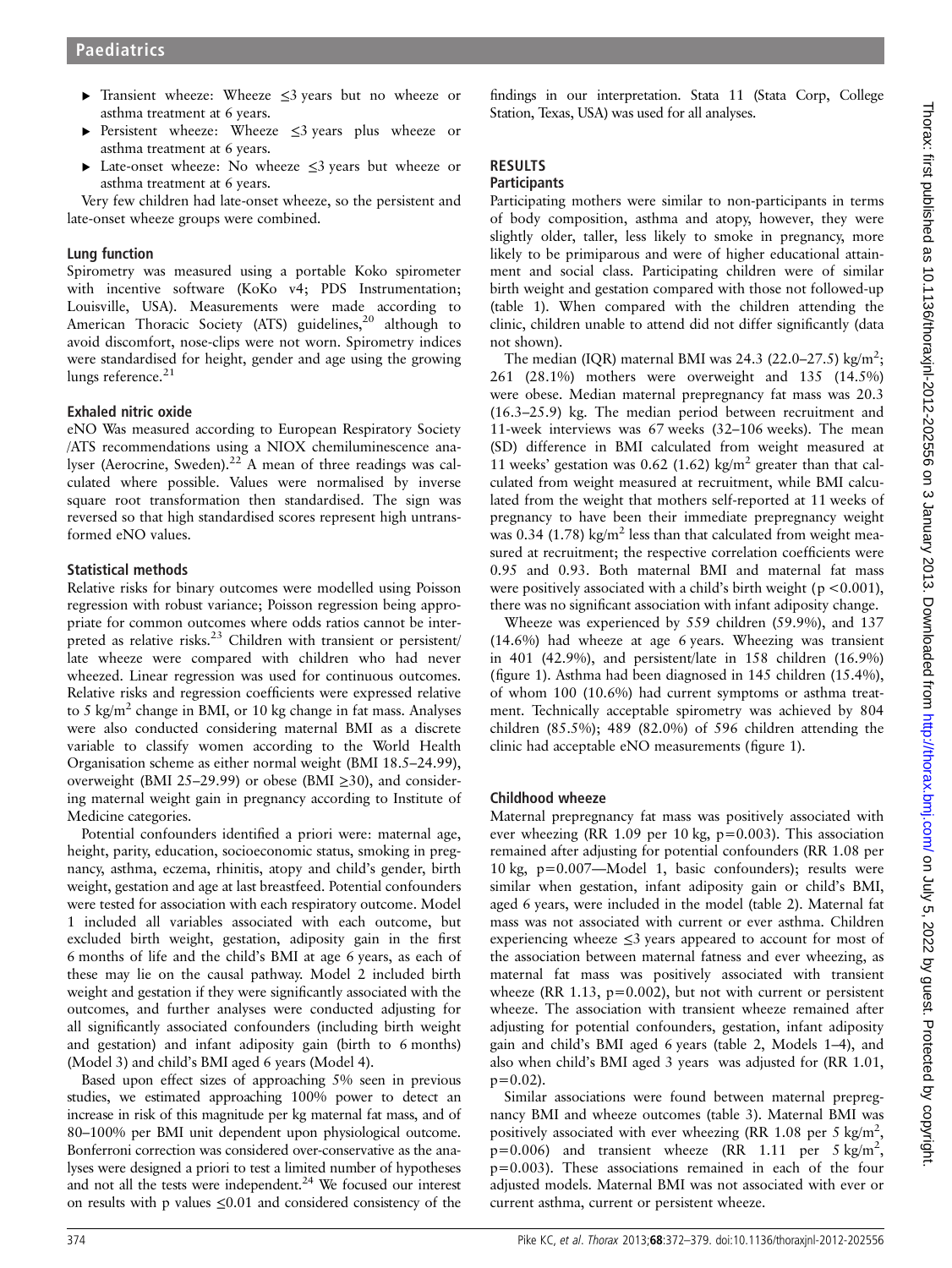- ▸ Transient wheeze: Wheeze ≤3 years but no wheeze or asthma treatment at 6 years.
- Persistent wheeze: Wheeze ≤3 years plus wheeze or asthma treatment at 6 years.
- ▸ Late-onset wheeze: No wheeze ≤3 years but wheeze or asthma treatment at 6 years.

Very few children had late-onset wheeze, so the persistent and late-onset wheeze groups were combined.

#### Lung function

Spirometry was measured using a portable Koko spirometer with incentive software (KoKo v4; PDS Instrumentation; Louisville, USA). Measurements were made according to American Thoracic Society (ATS) guidelines,<sup>20</sup> although to avoid discomfort, nose-clips were not worn. Spirometry indices were standardised for height, gender and age using the growing lungs reference.<sup>21</sup>

# Exhaled nitric oxide

eNO Was measured according to European Respiratory Society /ATS recommendations using a NIOX chemiluminescence analyser (Aerocrine, Sweden).<sup>22</sup> A mean of three readings was calculated where possible. Values were normalised by inverse square root transformation then standardised. The sign was reversed so that high standardised scores represent high untransformed eNO values.

# Statistical methods

Relative risks for binary outcomes were modelled using Poisson regression with robust variance; Poisson regression being appropriate for common outcomes where odds ratios cannot be interpreted as relative risks.<sup>23</sup> Children with transient or persistent/ late wheeze were compared with children who had never wheezed. Linear regression was used for continuous outcomes. Relative risks and regression coefficients were expressed relative to 5 kg/m<sup>2</sup> change in BMI, or 10 kg change in fat mass. Analyses were also conducted considering maternal BMI as a discrete variable to classify women according to the World Health Organisation scheme as either normal weight (BMI 18.5–24.99), overweight (BMI 25–29.99) or obese (BMI  $\geq$ 30), and considering maternal weight gain in pregnancy according to Institute of Medicine categories.

Potential confounders identified a priori were: maternal age, height, parity, education, socioeconomic status, smoking in pregnancy, asthma, eczema, rhinitis, atopy and child's gender, birth weight, gestation and age at last breastfeed. Potential confounders were tested for association with each respiratory outcome. Model 1 included all variables associated with each outcome, but excluded birth weight, gestation, adiposity gain in the first 6 months of life and the child's BMI at age 6 years, as each of these may lie on the causal pathway. Model 2 included birth weight and gestation if they were significantly associated with the outcomes, and further analyses were conducted adjusting for all significantly associated confounders (including birth weight and gestation) and infant adiposity gain (birth to 6 months) (Model 3) and child's BMI aged 6 years (Model 4).

Based upon effect sizes of approaching 5% seen in previous studies, we estimated approaching 100% power to detect an increase in risk of this magnitude per kg maternal fat mass, and of 80–100% per BMI unit dependent upon physiological outcome. Bonferroni correction was considered over-conservative as the analyses were designed a priori to test a limited number of hypotheses and not all the tests were independent.<sup>24</sup> We focused our interest on results with p values ≤0.01 and considered consistency of the

findings in our interpretation. Stata 11 (Stata Corp, College Station, Texas, USA) was used for all analyses.

# RESULTS

# **Participants**

Participating mothers were similar to non-participants in terms of body composition, asthma and atopy, however, they were slightly older, taller, less likely to smoke in pregnancy, more likely to be primiparous and were of higher educational attainment and social class. Participating children were of similar birth weight and gestation compared with those not followed-up (table 1). When compared with the children attending the clinic, children unable to attend did not differ significantly (data not shown).

The median (IQR) maternal BMI was 24.3 (22.0–27.5) kg/m<sup>2</sup>; 261 (28.1%) mothers were overweight and 135 (14.5%) were obese. Median maternal prepregnancy fat mass was 20.3 (16.3–25.9) kg. The median period between recruitment and 11-week interviews was 67 weeks (32–106 weeks). The mean (SD) difference in BMI calculated from weight measured at 11 weeks' gestation was 0.62 (1.62) kg/m<sup>2</sup> greater than that calculated from weight measured at recruitment, while BMI calculated from the weight that mothers self-reported at 11 weeks of pregnancy to have been their immediate prepregnancy weight was 0.34 (1.78) kg/m<sup>2</sup> less than that calculated from weight measured at recruitment; the respective correlation coefficients were 0.95 and 0.93. Both maternal BMI and maternal fat mass were positively associated with a child's birth weight ( $p < 0.001$ ), there was no significant association with infant adiposity change.

Wheeze was experienced by 559 children (59.9%), and 137 (14.6%) had wheeze at age 6 years. Wheezing was transient in 401 (42.9%), and persistent/late in 158 children (16.9%) (figure 1). Asthma had been diagnosed in 145 children (15.4%), of whom 100 (10.6%) had current symptoms or asthma treatment. Technically acceptable spirometry was achieved by 804 children (85.5%); 489 (82.0%) of 596 children attending the clinic had acceptable eNO measurements (figure 1).

# Childhood wheeze

Maternal prepregnancy fat mass was positively associated with ever wheezing (RR 1.09 per 10 kg, p=0.003). This association remained after adjusting for potential confounders (RR 1.08 per 10 kg, p=0.007—Model 1, basic confounders); results were similar when gestation, infant adiposity gain or child's BMI, aged 6 years, were included in the model (table 2). Maternal fat mass was not associated with current or ever asthma. Children experiencing wheeze  $\leq$ 3 years appeared to account for most of the association between maternal fatness and ever wheezing, as maternal fat mass was positively associated with transient wheeze (RR 1.13,  $p=0.002$ ), but not with current or persistent wheeze. The association with transient wheeze remained after adjusting for potential confounders, gestation, infant adiposity gain and child's BMI aged 6 years (table 2, Models 1–4), and also when child's BMI aged 3 years was adjusted for (RR 1.01,  $p=0.02$ ).

Similar associations were found between maternal prepregnancy BMI and wheeze outcomes (table 3). Maternal BMI was positively associated with ever wheezing (RR 1.08 per 5 kg/m<sup>2</sup>,  $p=0.006$ ) and transient wheeze (RR 1.11 per 5 kg/m<sup>2</sup>, p=0.003). These associations remained in each of the four adjusted models. Maternal BMI was not associated with ever or current asthma, current or persistent wheeze.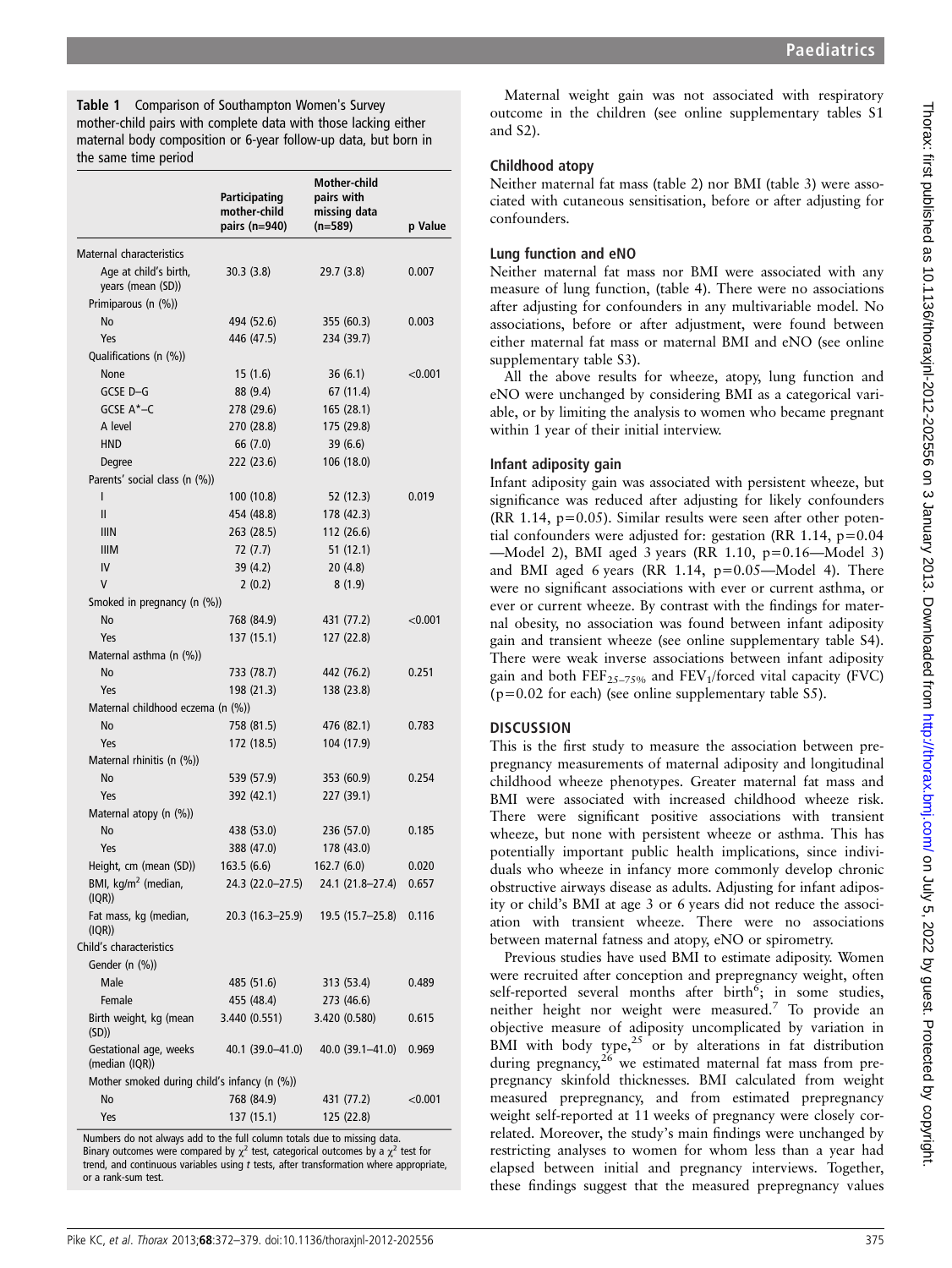Table 1 Comparison of Southampton Women's Survey mother-child pairs with complete data with those lacking either maternal body composition or 6-year follow-up data, but born in the same time period

|                                              | Participating<br>mother-child<br>pairs (n=940) | <b>Mother-child</b><br>pairs with<br>missing data<br>$(n=589)$ | p Value    |
|----------------------------------------------|------------------------------------------------|----------------------------------------------------------------|------------|
| Maternal characteristics                     |                                                |                                                                |            |
| Age at child's birth,<br>years (mean (SD))   | 30.3(3.8)                                      | 29.7 (3.8)                                                     | 0.007      |
| Primiparous (n (%))                          |                                                |                                                                |            |
| No                                           | 494 (52.6)                                     | 355 (60.3)                                                     | 0.003      |
| Yes                                          | 446 (47.5)                                     | 234 (39.7)                                                     |            |
| Qualifications (n (%))                       |                                                |                                                                |            |
| None                                         | 15(1.6)                                        | 36(6.1)                                                        | < 0.001    |
| GCSE D-G                                     | 88 (9.4)                                       | 67 (11.4)                                                      |            |
| GCSE A*-C                                    | 278 (29.6)                                     | 165 (28.1)                                                     |            |
| A level                                      | 270 (28.8)                                     | 175 (29.8)                                                     |            |
| <b>HND</b>                                   | 66 (7.0)                                       | 39 (6.6)                                                       |            |
| Degree                                       | 222 (23.6)                                     | 106 (18.0)                                                     |            |
| Parents' social class (n (%))                |                                                |                                                                |            |
| I                                            | 100 (10.8)                                     | 52 (12.3)                                                      | 0.019      |
| $\mathbf{I}$                                 | 454 (48.8)                                     | 178 (42.3)                                                     |            |
| <b>IIIN</b>                                  | 263 (28.5)                                     | 112 (26.6)                                                     |            |
| <b>IIIM</b>                                  | 72 (7.7)                                       | 51(12.1)                                                       |            |
| IV                                           | 39 (4.2)                                       | 20(4.8)                                                        |            |
| V                                            | 2(0.2)                                         | 8(1.9)                                                         |            |
| Smoked in pregnancy (n (%))                  |                                                |                                                                |            |
| No                                           | 768 (84.9)                                     | 431 (77.2)                                                     | < 0.001    |
| Yes                                          | 137 (15.1)                                     | 127 (22.8)                                                     |            |
| Maternal asthma (n (%))                      |                                                |                                                                |            |
| No                                           | 733 (78.7)                                     | 442 (76.2)                                                     | 0.251      |
| Yes                                          | 198 (21.3)                                     | 138 (23.8)                                                     |            |
| Maternal childhood eczema (n (%))            |                                                |                                                                |            |
| No                                           | 758 (81.5)                                     | 476 (82.1)                                                     | 0.783      |
| Yes                                          | 172 (18.5)                                     | 104 (17.9)                                                     |            |
| Maternal rhinitis (n (%))                    |                                                |                                                                |            |
| No                                           | 539 (57.9)                                     | 353 (60.9)                                                     | 0.254      |
| Yes                                          | 392 (42.1)                                     | 227 (39.1)                                                     |            |
| Maternal atopy (n (%))                       |                                                |                                                                |            |
| No                                           | 438 (53.0)                                     | 236 (57.0)                                                     | 0.185      |
| Yes                                          | 388 (47.0)                                     | 178 (43.0)                                                     |            |
| Height, cm (mean (SD))                       | 163.5(6.6)                                     | 162.7 (6.0)                                                    | 0.020      |
| BMI, kg/m <sup>2</sup> (median,<br>(IQR))    | 24.3 (22.0-27.5)                               | 24.1 (21.8-27.4)                                               | 0.657      |
| Fat mass, kg (median,<br>(IQR))              | 20.3 (16.3–25.9)                               | 19.5 (15.7–25.8)                                               | 0.116      |
| Child's characteristics                      |                                                |                                                                |            |
| Gender (n (%))                               |                                                |                                                                |            |
| Male                                         | 485 (51.6)                                     | 313 (53.4)                                                     | 0.489      |
| Female                                       | 455 (48.4)                                     | 273 (46.6)                                                     |            |
| Birth weight, kg (mean<br>(SD)               | 3.440(0.551)                                   | 3.420 (0.580)                                                  | 0.615      |
| Gestational age, weeks<br>(median (IQR))     | 40.1 (39.0–41.0)                               | 40.0 (39.1–41.0)                                               | 0.969      |
| Mother smoked during child's infancy (n (%)) |                                                |                                                                |            |
| No                                           | 768 (84.9)                                     | 431 (77.2)                                                     | ${<}0.001$ |
| Yes                                          | 137 (15.1)                                     | 125 (22.8)                                                     |            |

Numbers do not always add to the full column totals due to missing data. Binary outcomes were compared by  $\chi^2$  test, categorical outcomes by a  $\chi^2$  test for trend, and continuous variables using  $t$  tests, after transformation where appropriate, or a rank-sum test.

Maternal weight gain was not associated with respiratory outcome in the children (see online supplementary tables S1 and S2).

### Childhood atopy

Neither maternal fat mass (table 2) nor BMI (table 3) were associated with cutaneous sensitisation, before or after adjusting for confounders.

# Lung function and eNO

Neither maternal fat mass nor BMI were associated with any measure of lung function, (table 4). There were no associations after adjusting for confounders in any multivariable model. No associations, before or after adjustment, were found between either maternal fat mass or maternal BMI and eNO (see online supplementary table S3).

All the above results for wheeze, atopy, lung function and eNO were unchanged by considering BMI as a categorical variable, or by limiting the analysis to women who became pregnant within 1 year of their initial interview.

# Infant adiposity gain

Infant adiposity gain was associated with persistent wheeze, but significance was reduced after adjusting for likely confounders  $(RR 1.14, p=0.05)$ . Similar results were seen after other potential confounders were adjusted for: gestation (RR 1.14,  $p=0.04$ ) —Model 2), BMI aged 3 years (RR 1.10, p=0.16—Model 3) and BMI aged 6 years (RR 1.14,  $p=0.05$ —Model 4). There were no significant associations with ever or current asthma, or ever or current wheeze. By contrast with the findings for maternal obesity, no association was found between infant adiposity gain and transient wheeze (see online supplementary table S4). There were weak inverse associations between infant adiposity gain and both  $\text{FEF}_{25-75\%}$  and  $\text{FEV}_1/\text{forced}$  vital capacity (FVC)  $(p=0.02$  for each) (see online supplementary table S5).

# **DISCUSSION**

This is the first study to measure the association between prepregnancy measurements of maternal adiposity and longitudinal childhood wheeze phenotypes. Greater maternal fat mass and BMI were associated with increased childhood wheeze risk. There were significant positive associations with transient wheeze, but none with persistent wheeze or asthma. This has potentially important public health implications, since individuals who wheeze in infancy more commonly develop chronic obstructive airways disease as adults. Adjusting for infant adiposity or child's BMI at age 3 or 6 years did not reduce the association with transient wheeze. There were no associations between maternal fatness and atopy, eNO or spirometry.

Previous studies have used BMI to estimate adiposity. Women were recruited after conception and prepregnancy weight, often self-reported several months after  $\overline{b}$  birth<sup>6</sup>; in some studies, neither height nor weight were measured.<sup>7</sup> To provide an objective measure of adiposity uncomplicated by variation in BMI with body type, $25$  or by alterations in fat distribution during pregnancy, $26$  we estimated maternal fat mass from prepregnancy skinfold thicknesses. BMI calculated from weight measured prepregnancy, and from estimated prepregnancy weight self-reported at 11 weeks of pregnancy were closely correlated. Moreover, the study's main findings were unchanged by restricting analyses to women for whom less than a year had elapsed between initial and pregnancy interviews. Together, these findings suggest that the measured prepregnancy values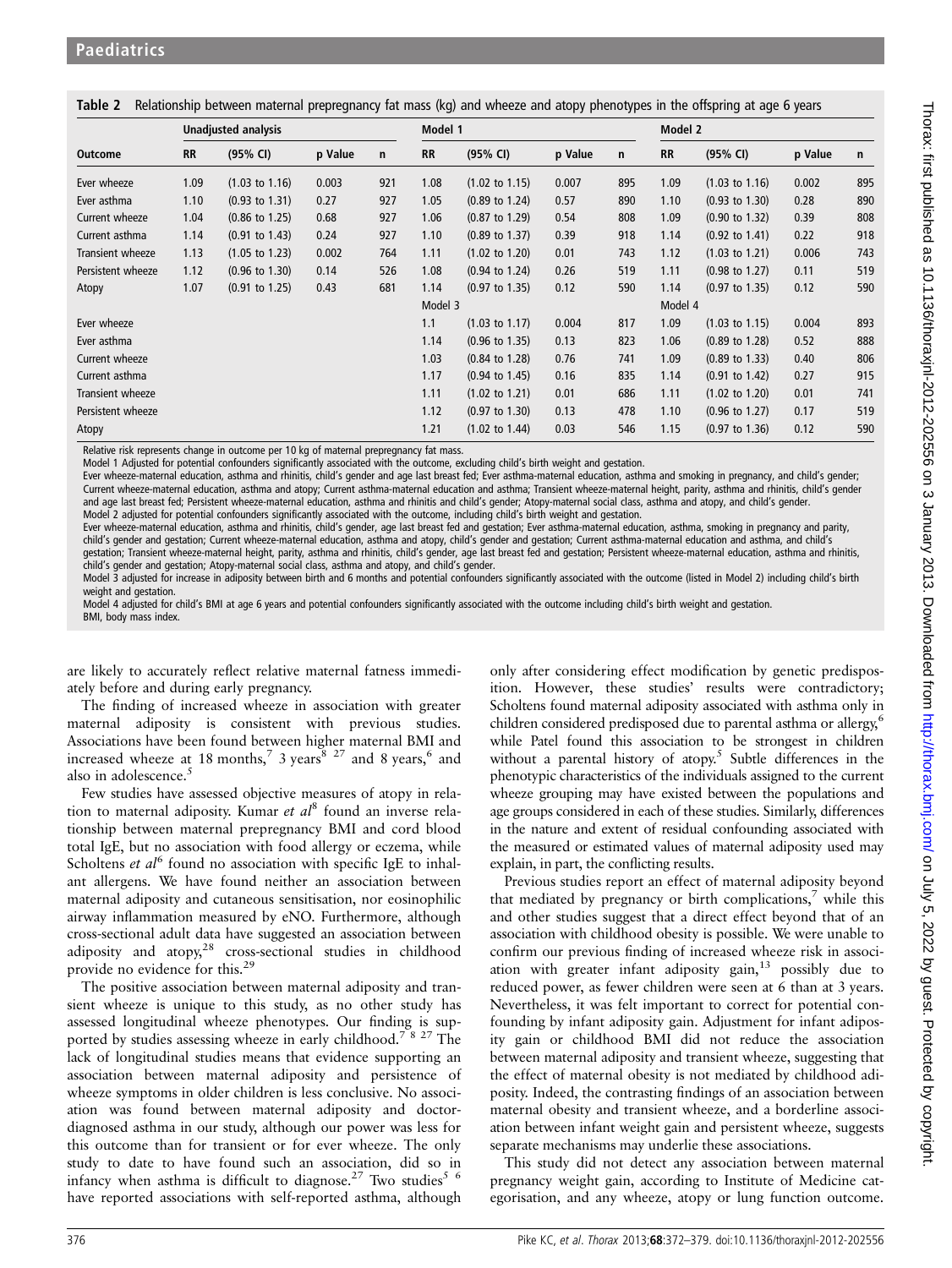|                   |           | <b>Unadjusted analysis</b> |         |     | Model 1   |                           |         |     | Model 2   |                           |         |     |
|-------------------|-----------|----------------------------|---------|-----|-----------|---------------------------|---------|-----|-----------|---------------------------|---------|-----|
| <b>Outcome</b>    | <b>RR</b> | (95% CI)                   | p Value | n   | <b>RR</b> | (95% CI)                  | p Value | n   | <b>RR</b> | (95% CI)                  | p Value | n   |
| Ever wheeze       | 1.09      | $(1.03 \text{ to } 1.16)$  | 0.003   | 921 | 1.08      | $(1.02 \text{ to } 1.15)$ | 0.007   | 895 | 1.09      | $(1.03 \text{ to } 1.16)$ | 0.002   | 895 |
| Ever asthma       | 1.10      | $(0.93 \text{ to } 1.31)$  | 0.27    | 927 | 1.05      | $(0.89 \text{ to } 1.24)$ | 0.57    | 890 | 1.10      | $(0.93 \text{ to } 1.30)$ | 0.28    | 890 |
| Current wheeze    | 1.04      | $(0.86 \text{ to } 1.25)$  | 0.68    | 927 | 1.06      | $(0.87 \text{ to } 1.29)$ | 0.54    | 808 | 1.09      | $(0.90 \text{ to } 1.32)$ | 0.39    | 808 |
| Current asthma    | 1.14      | $(0.91 \text{ to } 1.43)$  | 0.24    | 927 | 1.10      | $(0.89 \text{ to } 1.37)$ | 0.39    | 918 | 1.14      | $(0.92 \text{ to } 1.41)$ | 0.22    | 918 |
| Transient wheeze  | 1.13      | $(1.05 \text{ to } 1.23)$  | 0.002   | 764 | 1.11      | $(1.02 \text{ to } 1.20)$ | 0.01    | 743 | 1.12      | $(1.03 \text{ to } 1.21)$ | 0.006   | 743 |
| Persistent wheeze | 1.12      | $(0.96 \text{ to } 1.30)$  | 0.14    | 526 | 1.08      | $(0.94 \text{ to } 1.24)$ | 0.26    | 519 | 1.11      | $(0.98 \text{ to } 1.27)$ | 0.11    | 519 |
| Atopy             | 1.07      | $(0.91 \text{ to } 1.25)$  | 0.43    | 681 | 1.14      | $(0.97 \text{ to } 1.35)$ | 0.12    | 590 | 1.14      | $(0.97 \text{ to } 1.35)$ | 0.12    | 590 |
|                   |           |                            |         |     | Model 3   |                           |         |     | Model 4   |                           |         |     |
| Ever wheeze       |           |                            |         |     | 1.1       | $(1.03 \text{ to } 1.17)$ | 0.004   | 817 | 1.09      | $(1.03 \text{ to } 1.15)$ | 0.004   | 893 |
| Ever asthma       |           |                            |         |     | 1.14      | $(0.96 \text{ to } 1.35)$ | 0.13    | 823 | 1.06      | $(0.89 \text{ to } 1.28)$ | 0.52    | 888 |
| Current wheeze    |           |                            |         |     | 1.03      | $(0.84 \text{ to } 1.28)$ | 0.76    | 741 | 1.09      | $(0.89 \text{ to } 1.33)$ | 0.40    | 806 |
| Current asthma    |           |                            |         |     | 1.17      | $(0.94 \text{ to } 1.45)$ | 0.16    | 835 | 1.14      | $(0.91 \text{ to } 1.42)$ | 0.27    | 915 |
| Transient wheeze  |           |                            |         |     | 1.11      | $(1.02 \text{ to } 1.21)$ | 0.01    | 686 | 1.11      | $(1.02 \text{ to } 1.20)$ | 0.01    | 741 |
| Persistent wheeze |           |                            |         |     | 1.12      | $(0.97 \text{ to } 1.30)$ | 0.13    | 478 | 1.10      | $(0.96 \text{ to } 1.27)$ | 0.17    | 519 |
| Atopy             |           |                            |         |     | 1.21      | $(1.02 \text{ to } 1.44)$ | 0.03    | 546 | 1.15      | $(0.97 \text{ to } 1.36)$ | 0.12    | 590 |

Table 2 Relationship between maternal prepregnancy fat mass (kg) and wheeze and atopy phenotypes in the offspring at age 6 years

Relative risk represents change in outcome per 10 kg of maternal prepregnancy fat mass.

Model 1 Adjusted for potential confounders significantly associated with the outcome, excluding child's birth weight and gestation.

Ever wheeze-maternal education, asthma and rhinitis, child's gender and age last breast fed; Ever asthma-maternal education, asthma and smoking in pregnancy, and child's gender; Current wheeze-maternal education, asthma and atopy; Current asthma-maternal education and asthma; Transient wheeze-maternal height, parity, asthma and rhinitis, child's gender and age last breast fed; Persistent wheeze-maternal education, asthma and rhinitis and child's gender; Atopy-maternal social class, asthma and atopy, and child's gender. Model 2 adjusted for potential confounders significantly associated with the outcome, including child's birth weight and gestation.

Ever wheeze-maternal education, asthma and rhinitis, child's gender, age last breast fed and gestation; Ever asthma-maternal education, asthma, smoking in pregnancy and parity, child's gender and gestation; Current wheeze-maternal education, asthma and atopy, child's gender and gestation; Current asthma-maternal education and asthma, and child's gestation; Transient wheeze-maternal height, parity, asthma and rhinitis, child's gender, age last breast fed and gestation; Persistent wheeze-maternal education, asthma and rhinitis, child's gender and gestation; Atopy-maternal social class, asthma and atopy, and child's gender.

Model 3 adjusted for increase in adiposity between birth and 6 months and potential confounders significantly associated with the outcome (listed in Model 2) including child's birth weight and gestation.

Model 4 adjusted for child's BMI at age 6 years and potential confounders significantly associated with the outcome including child's birth weight and gestation. BMI, body mass index.

are likely to accurately reflect relative maternal fatness immediately before and during early pregnancy.

The finding of increased wheeze in association with greater maternal adiposity is consistent with previous studies. Associations have been found between higher maternal BMI and increased wheeze at 18 months,<sup>7</sup> 3 years<sup>8 27</sup> and 8 years,<sup>6</sup> and also in adolescence.<sup>5</sup>

Few studies have assessed objective measures of atopy in relation to maternal adiposity. Kumar et  $al^8$  found an inverse relationship between maternal prepregnancy BMI and cord blood total IgE, but no association with food allergy or eczema, while Scholtens et  $al^6$  found no association with specific IgE to inhalant allergens. We have found neither an association between maternal adiposity and cutaneous sensitisation, nor eosinophilic airway inflammation measured by eNO. Furthermore, although cross-sectional adult data have suggested an association between adiposity and atopy,<sup>28</sup> cross-sectional studies in childhood provide no evidence for this.29

The positive association between maternal adiposity and transient wheeze is unique to this study, as no other study has assessed longitudinal wheeze phenotypes. Our finding is supported by studies assessing wheeze in early childhood.<sup>78 27</sup> The lack of longitudinal studies means that evidence supporting an association between maternal adiposity and persistence of wheeze symptoms in older children is less conclusive. No association was found between maternal adiposity and doctordiagnosed asthma in our study, although our power was less for this outcome than for transient or for ever wheeze. The only study to date to have found such an association, did so in infancy when asthma is difficult to diagnose.<sup>27</sup> Two studies<sup>5 6</sup> have reported associations with self-reported asthma, although

only after considering effect modification by genetic predisposition. However, these studies' results were contradictory; Scholtens found maternal adiposity associated with asthma only in children considered predisposed due to parental asthma or allergy,<sup>6</sup> while Patel found this association to be strongest in children without a parental history of atopy.<sup>5</sup> Subtle differences in the phenotypic characteristics of the individuals assigned to the current wheeze grouping may have existed between the populations and age groups considered in each of these studies. Similarly, differences in the nature and extent of residual confounding associated with the measured or estimated values of maternal adiposity used may explain, in part, the conflicting results.

Previous studies report an effect of maternal adiposity beyond that mediated by pregnancy or birth complications,<sup>7</sup> while this and other studies suggest that a direct effect beyond that of an association with childhood obesity is possible. We were unable to confirm our previous finding of increased wheeze risk in association with greater infant adiposity gain,<sup>13</sup> possibly due to reduced power, as fewer children were seen at 6 than at 3 years. Nevertheless, it was felt important to correct for potential confounding by infant adiposity gain. Adjustment for infant adiposity gain or childhood BMI did not reduce the association between maternal adiposity and transient wheeze, suggesting that the effect of maternal obesity is not mediated by childhood adiposity. Indeed, the contrasting findings of an association between maternal obesity and transient wheeze, and a borderline association between infant weight gain and persistent wheeze, suggests separate mechanisms may underlie these associations.

This study did not detect any association between maternal pregnancy weight gain, according to Institute of Medicine categorisation, and any wheeze, atopy or lung function outcome.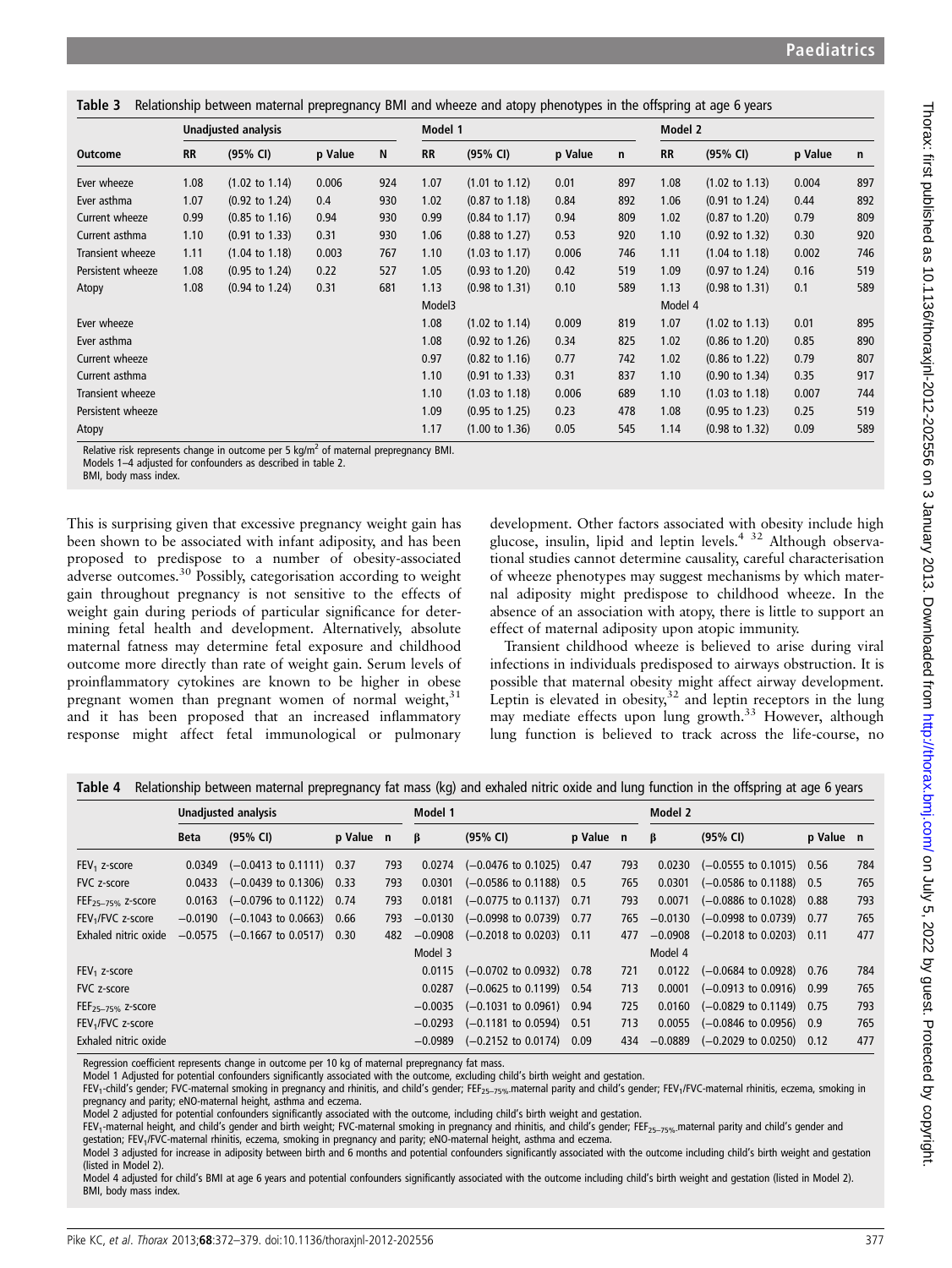|  |  |  |  |  |  | Table 3 Relationship between maternal prepregnancy BMI and wheeze and atopy phenotypes in the offspring at age 6 years |
|--|--|--|--|--|--|------------------------------------------------------------------------------------------------------------------------|
|--|--|--|--|--|--|------------------------------------------------------------------------------------------------------------------------|

|                   | Unadjusted analysis |                           |         |     |           | Model 1                   |         |     |           | Model 2                   |         |     |  |
|-------------------|---------------------|---------------------------|---------|-----|-----------|---------------------------|---------|-----|-----------|---------------------------|---------|-----|--|
| <b>Outcome</b>    | <b>RR</b>           | (95% CI)                  | p Value | N   | <b>RR</b> | (95% CI)                  | p Value | n   | <b>RR</b> | (95% CI)                  | p Value | n   |  |
| Ever wheeze       | 1.08                | $(1.02 \text{ to } 1.14)$ | 0.006   | 924 | 1.07      | $(1.01 \text{ to } 1.12)$ | 0.01    | 897 | 1.08      | $(1.02 \text{ to } 1.13)$ | 0.004   | 897 |  |
| Ever asthma       | 1.07                | $(0.92 \text{ to } 1.24)$ | 0.4     | 930 | 1.02      | $(0.87 \text{ to } 1.18)$ | 0.84    | 892 | 1.06      | $(0.91 \text{ to } 1.24)$ | 0.44    | 892 |  |
| Current wheeze    | 0.99                | $(0.85 \text{ to } 1.16)$ | 0.94    | 930 | 0.99      | $(0.84 \text{ to } 1.17)$ | 0.94    | 809 | 1.02      | $(0.87 \text{ to } 1.20)$ | 0.79    | 809 |  |
| Current asthma    | 1.10                | $(0.91 \text{ to } 1.33)$ | 0.31    | 930 | 1.06      | $(0.88 \text{ to } 1.27)$ | 0.53    | 920 | 1.10      | $(0.92 \text{ to } 1.32)$ | 0.30    | 920 |  |
| Transient wheeze  | 1.11                | $(1.04 \text{ to } 1.18)$ | 0.003   | 767 | 1.10      | $(1.03 \text{ to } 1.17)$ | 0.006   | 746 | 1.11      | $(1.04 \text{ to } 1.18)$ | 0.002   | 746 |  |
| Persistent wheeze | 1.08                | $(0.95 \text{ to } 1.24)$ | 0.22    | 527 | 1.05      | $(0.93 \text{ to } 1.20)$ | 0.42    | 519 | 1.09      | $(0.97 \text{ to } 1.24)$ | 0.16    | 519 |  |
| Atopy             | 1.08                | $(0.94 \text{ to } 1.24)$ | 0.31    | 681 | 1.13      | $(0.98 \text{ to } 1.31)$ | 0.10    | 589 | 1.13      | $(0.98 \text{ to } 1.31)$ | 0.1     | 589 |  |
|                   |                     |                           |         |     | Model3    |                           |         |     | Model 4   |                           |         |     |  |
| Ever wheeze       |                     |                           |         |     | 1.08      | $(1.02 \text{ to } 1.14)$ | 0.009   | 819 | 1.07      | $(1.02 \text{ to } 1.13)$ | 0.01    | 895 |  |
| Ever asthma       |                     |                           |         |     | 1.08      | $(0.92 \text{ to } 1.26)$ | 0.34    | 825 | 1.02      | $(0.86 \text{ to } 1.20)$ | 0.85    | 890 |  |
| Current wheeze    |                     |                           |         |     | 0.97      | $(0.82 \text{ to } 1.16)$ | 0.77    | 742 | 1.02      | $(0.86 \text{ to } 1.22)$ | 0.79    | 807 |  |
| Current asthma    |                     |                           |         |     | 1.10      | $(0.91 \text{ to } 1.33)$ | 0.31    | 837 | 1.10      | $(0.90 \text{ to } 1.34)$ | 0.35    | 917 |  |
| Transient wheeze  |                     |                           |         |     | 1.10      | $(1.03 \text{ to } 1.18)$ | 0.006   | 689 | 1.10      | $(1.03 \text{ to } 1.18)$ | 0.007   | 744 |  |
| Persistent wheeze |                     |                           |         |     | 1.09      | $(0.95 \text{ to } 1.25)$ | 0.23    | 478 | 1.08      | $(0.95 \text{ to } 1.23)$ | 0.25    | 519 |  |
| Atopy             |                     |                           |         |     | 1.17      | $(1.00 \text{ to } 1.36)$ | 0.05    | 545 | 1.14      | $(0.98 \text{ to } 1.32)$ | 0.09    | 589 |  |

Relative risk represents change in outcome per 5 kg/ $m^2$  of maternal prepregnancy BMI.

Models 1–4 adjusted for confounders as described in table 2.

BMI, body mass index.

This is surprising given that excessive pregnancy weight gain has been shown to be associated with infant adiposity, and has been proposed to predispose to a number of obesity-associated adverse outcomes.<sup>30</sup> Possibly, categorisation according to weight gain throughout pregnancy is not sensitive to the effects of weight gain during periods of particular significance for determining fetal health and development. Alternatively, absolute maternal fatness may determine fetal exposure and childhood outcome more directly than rate of weight gain. Serum levels of proinflammatory cytokines are known to be higher in obese pregnant women than pregnant women of normal weight,<sup>31</sup> and it has been proposed that an increased inflammatory response might affect fetal immunological or pulmonary

development. Other factors associated with obesity include high glucose, insulin, lipid and leptin levels.4 32 Although observational studies cannot determine causality, careful characterisation of wheeze phenotypes may suggest mechanisms by which maternal adiposity might predispose to childhood wheeze. In the absence of an association with atopy, there is little to support an effect of maternal adiposity upon atopic immunity.

Transient childhood wheeze is believed to arise during viral infections in individuals predisposed to airways obstruction. It is possible that maternal obesity might affect airway development. Leptin is elevated in obesity, $32$  and leptin receptors in the lung may mediate effects upon lung growth.<sup>33</sup> However, although lung function is believed to track across the life-course, no

|                               | Unadjusted analysis |                                     |           |     | Model 1   |                                              |           |     | Model 2   |                                      |           |     |
|-------------------------------|---------------------|-------------------------------------|-----------|-----|-----------|----------------------------------------------|-----------|-----|-----------|--------------------------------------|-----------|-----|
|                               | <b>Beta</b>         | (95% CI)                            | p Value n |     | β         | (95% CI)                                     | p Value n |     | β         | (95% CI)                             | p Value n |     |
| $FEV1$ z-score                |                     | $0.0349$ $(-0.0413$ to 0.1111) 0.37 |           | 793 |           | $0.0274$ $(-0.0476 \text{ to } 0.1025)$ 0.47 |           | 793 | 0.0230    | $(-0.0555$ to 0.1015) 0.56           |           | 784 |
| FVC z-score                   | 0.0433              | $(-0.0439 \text{ to } 0.1306)$ 0.33 |           | 793 | 0.0301    | $(-0.0586 \text{ to } 0.1188)$ 0.5           |           | 765 | 0.0301    | $(-0.0586 \text{ to } 0.1188)$ 0.5   |           | 765 |
| $FEF_{25-75\%}$ z-score       | 0.0163              | $(-0.0796 \text{ to } 0.1122)$ 0.74 |           | 793 | 0.0181    | $(-0.0775 \text{ to } 0.1137)$ 0.71          |           | 793 | 0.0071    | $(-0.0886 \text{ to } 0.1028)$ 0.88  |           | 793 |
| FEV <sub>1</sub> /FVC z-score | $-0.0190$           | $(-0.1043 \text{ to } 0.0663)$ 0.66 |           | 793 | $-0.0130$ | $(-0.0998$ to 0.0739)                        | 0.77      | 765 | $-0.0130$ | $(-0.0998 \text{ to } 0.0739)$ 0.77  |           | 765 |
| Exhaled nitric oxide          |                     | $-0.0575$ (-0.1667 to 0.0517) 0.30  |           | 482 |           | $-0.0908$ $(-0.2018$ to 0.0203) 0.11         |           | 477 |           | $-0.0908$ $(-0.2018$ to 0.0203) 0.11 |           | 477 |
|                               |                     |                                     |           |     | Model 3   |                                              |           |     | Model 4   |                                      |           |     |
| $FEV1$ z-score                |                     |                                     |           |     |           | $0.0115$ $(-0.0702 \text{ to } 0.0932)$ 0.78 |           | 721 | 0.0122    | $(-0.0684 \text{ to } 0.0928)$ 0.76  |           | 784 |
| FVC z-score                   |                     |                                     |           |     | 0.0287    | $(-0.0625$ to $0.1199$ )                     | 0.54      | 713 | 0.0001    | $(-0.0913 \text{ to } 0.0916)$ 0.99  |           | 765 |
| FEF <sub>25-75%</sub> z-score |                     |                                     |           |     | $-0.0035$ | $(-0.1031 \text{ to } 0.0961)$ 0.94          |           | 725 | 0.0160    | $(-0.0829 \text{ to } 0.1149)$ 0.75  |           | 793 |
| FEV <sub>1</sub> /FVC z-score |                     |                                     |           |     |           | $-0.0293$ $(-0.1181$ to 0.0594)              | 0.51      | 713 | 0.0055    | $(-0.0846 \text{ to } 0.0956)$ 0.9   |           | 765 |
| Exhaled nitric oxide          |                     |                                     |           |     | $-0.0989$ | $(-0.2152 \text{ to } 0.0174)$ 0.09          |           | 434 | $-0.0889$ | $(-0.2029 \text{ to } 0.0250)$ 0.12  |           | 477 |

Table 4 Relationship between maternal prepregnancy fat mass (kg) and exhaled nitric oxide and lung function in the offspring at age 6 years

Regression coefficient represents change in outcome per 10 kg of maternal prepregnancy fat mass.

Model 1 Adjusted for potential confounders significantly associated with the outcome, excluding child's birth weight and gestation.

FEV<sub>1</sub>-child's gender; FVC-maternal smoking in pregnancy and rhinitis, and child's gender; FEF<sub>25–75%-</sub>maternal parity and child's gender; FEV<sub>1</sub>/FVC-maternal rhinitis, eczema, smoking in pregnancy and parity; eNO-maternal height, asthma and eczema.

Model 2 adjusted for potential confounders significantly associated with the outcome, including child's birth weight and gestation.

FEV<sub>1</sub>-maternal height, and child's gender and birth weight; FVC-maternal smoking in pregnancy and rhinitis, and child's gender; FEF<sub>25–75%</sub> maternal parity and child's gender and

gestation; FEV<sub>1</sub>/FVC-maternal rhinitis, eczema, smoking in pregnancy and parity; eNO-maternal height, asthma and eczema.

Model 3 adjusted for increase in adiposity between birth and 6 months and potential confounders significantly associated with the outcome including child's birth weight and gestation (listed in Model 2).

Model 4 adjusted for child's BMI at age 6 years and potential confounders significantly associated with the outcome including child's birth weight and gestation (listed in Model 2). BMI, body mass index.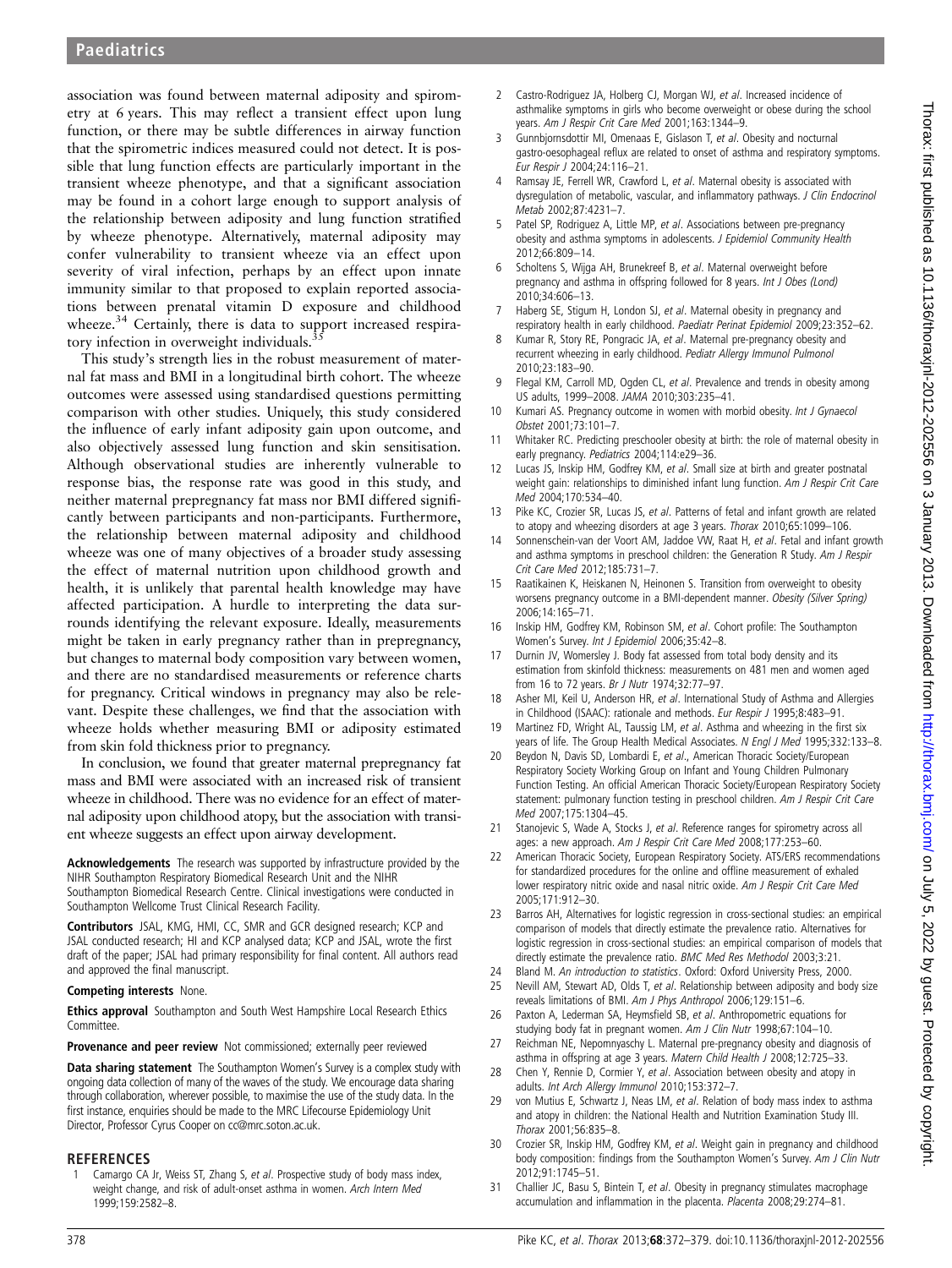association was found between maternal adiposity and spirometry at 6 years. This may reflect a transient effect upon lung function, or there may be subtle differences in airway function that the spirometric indices measured could not detect. It is possible that lung function effects are particularly important in the transient wheeze phenotype, and that a significant association may be found in a cohort large enough to support analysis of the relationship between adiposity and lung function stratified by wheeze phenotype. Alternatively, maternal adiposity may confer vulnerability to transient wheeze via an effect upon severity of viral infection, perhaps by an effect upon innate immunity similar to that proposed to explain reported associations between prenatal vitamin D exposure and childhood wheeze.<sup>34</sup> Certainly, there is data to support increased respiratory infection in overweight individuals.<sup>3</sup>

This study's strength lies in the robust measurement of maternal fat mass and BMI in a longitudinal birth cohort. The wheeze outcomes were assessed using standardised questions permitting comparison with other studies. Uniquely, this study considered the influence of early infant adiposity gain upon outcome, and also objectively assessed lung function and skin sensitisation. Although observational studies are inherently vulnerable to response bias, the response rate was good in this study, and neither maternal prepregnancy fat mass nor BMI differed significantly between participants and non-participants. Furthermore, the relationship between maternal adiposity and childhood wheeze was one of many objectives of a broader study assessing the effect of maternal nutrition upon childhood growth and health, it is unlikely that parental health knowledge may have affected participation. A hurdle to interpreting the data surrounds identifying the relevant exposure. Ideally, measurements might be taken in early pregnancy rather than in prepregnancy, but changes to maternal body composition vary between women, and there are no standardised measurements or reference charts for pregnancy. Critical windows in pregnancy may also be relevant. Despite these challenges, we find that the association with wheeze holds whether measuring BMI or adiposity estimated from skin fold thickness prior to pregnancy.

In conclusion, we found that greater maternal prepregnancy fat mass and BMI were associated with an increased risk of transient wheeze in childhood. There was no evidence for an effect of maternal adiposity upon childhood atopy, but the association with transient wheeze suggests an effect upon airway development.

Acknowledgements The research was supported by infrastructure provided by the NIHR Southampton Respiratory Biomedical Research Unit and the NIHR Southampton Biomedical Research Centre. Clinical investigations were conducted in Southampton Wellcome Trust Clinical Research Facility.

Contributors JSAL, KMG, HMI, CC, SMR and GCR designed research; KCP and JSAL conducted research; HI and KCP analysed data; KCP and JSAL, wrote the first draft of the paper; JSAL had primary responsibility for final content. All authors read and approved the final manuscript.

#### Competing interests None.

**Ethics approval** Southampton and South West Hampshire Local Research Ethics Committee.

#### Provenance and peer review Not commissioned; externally peer reviewed

Data sharing statement The Southampton Women's Survey is a complex study with ongoing data collection of many of the waves of the study. We encourage data sharing through collaboration, wherever possible, to maximise the use of the study data. In the first instance, enquiries should be made to the MRC Lifecourse Epidemiology Unit Director, Professor Cyrus Cooper on cc@mrc.soton.ac.uk.

#### REFERENCES

Camargo CA Jr, Weiss ST, Zhang S, et al. Prospective study of body mass index, weight change, and risk of adult-onset asthma in women. Arch Intern Med 1999;159:2582–8.

- 2 Castro-Rodriguez JA, Holberg CJ, Morgan WJ, et al. Increased incidence of asthmalike symptoms in girls who become overweight or obese during the school years. Am J Respir Crit Care Med 2001;163:1344–9.
- 3 Gunnbjornsdottir MI, Omenaas E, Gislason T, et al. Obesity and nocturnal gastro-oesophageal reflux are related to onset of asthma and respiratory symptoms. Eur Respir J 2004;24:116–21.
- Ramsay JE, Ferrell WR, Crawford L, et al. Maternal obesity is associated with dysregulation of metabolic, vascular, and inflammatory pathways. J Clin Endocrinol Metab 2002;87:4231–7.
- Patel SP, Rodriguez A, Little MP, et al. Associations between pre-pregnancy obesity and asthma symptoms in adolescents. J Epidemiol Community Health 2012;66:809–14.
- 6 Scholtens S, Wijga AH, Brunekreef B, et al. Maternal overweight before pregnancy and asthma in offspring followed for 8 years. Int J Obes (Lond) 2010;34:606–13.
- 7 Haberg SE, Stigum H, London SJ, et al. Maternal obesity in pregnancy and respiratory health in early childhood. Paediatr Perinat Epidemiol 2009;23:352–62.
- 8 Kumar R, Story RE, Pongracic JA, et al. Maternal pre-pregnancy obesity and recurrent wheezing in early childhood. Pediatr Allergy Immunol Pulmonol 2010;23:183–90.
- 9 Flegal KM, Carroll MD, Ogden CL, et al. Prevalence and trends in obesity among US adults, 1999–2008. JAMA 2010;303:235–41.
- 10 Kumari AS. Pregnancy outcome in women with morbid obesity. Int J Gynaecol Obstet 2001;73:101–7.
- 11 Whitaker RC. Predicting preschooler obesity at birth: the role of maternal obesity in early pregnancy. Pediatrics 2004;114:e29–36.
- Lucas JS, Inskip HM, Godfrey KM, et al. Small size at birth and greater postnatal weight gain: relationships to diminished infant lung function. Am J Respir Crit Care Med 2004;170:534–40.
- 13 Pike KC, Crozier SR, Lucas JS, et al. Patterns of fetal and infant growth are related to atopy and wheezing disorders at age 3 years. Thorax 2010;65:1099–106.
- 14 Sonnenschein-van der Voort AM, Jaddoe VW, Raat H, et al. Fetal and infant growth and asthma symptoms in preschool children: the Generation R Study. Am J Respir Crit Care Med 2012;185:731–7.
- 15 Raatikainen K, Heiskanen N, Heinonen S. Transition from overweight to obesity worsens pregnancy outcome in a BMI-dependent manner. Obesity (Silver Spring) 2006;14:165–71.
- 16 Inskip HM, Godfrey KM, Robinson SM, et al. Cohort profile: The Southampton Women's Survey. Int J Epidemiol 2006;35:42–8.
- 17 Durnin JV, Womersley J. Body fat assessed from total body density and its estimation from skinfold thickness: measurements on 481 men and women aged from 16 to 72 years. Br J Nutr 1974;32:77–97.
- 18 Asher MI, Keil U, Anderson HR, et al. International Study of Asthma and Allergies in Childhood (ISAAC): rationale and methods. Eur Respir J 1995;8:483-91.
- 19 Martinez FD, Wright AL, Taussig LM, et al. Asthma and wheezing in the first six years of life. The Group Health Medical Associates. N Engl J Med 1995:332:133-8.
- 20 Beydon N, Davis SD, Lombardi E, et al., American Thoracic Society/European Respiratory Society Working Group on Infant and Young Children Pulmonary Function Testing. An official American Thoracic Society/European Respiratory Society statement: pulmonary function testing in preschool children. Am J Respir Crit Care Med 2007;175:1304–45.
- 21 Stanojevic S, Wade A, Stocks J, et al. Reference ranges for spirometry across all ages: a new approach. Am J Respir Crit Care Med 2008;177:253–60.
- 22 American Thoracic Society, European Respiratory Society. ATS/ERS recommendations for standardized procedures for the online and offline measurement of exhaled lower respiratory nitric oxide and nasal nitric oxide. Am J Respir Crit Care Med 2005;171:912–30.
- 23 Barros AH, Alternatives for logistic regression in cross-sectional studies: an empirical comparison of models that directly estimate the prevalence ratio. Alternatives for logistic regression in cross-sectional studies: an empirical comparison of models that directly estimate the prevalence ratio. BMC Med Res Methodol 2003;3:21.
- Bland M. An introduction to statistics. Oxford: Oxford University Press, 2000.
- 25 Nevill AM, Stewart AD, Olds T, et al. Relationship between adiposity and body size reveals limitations of BMI. Am J Phys Anthropol 2006;129:151–6.
- 26 Paxton A, Lederman SA, Heymsfield SB, et al. Anthropometric equations for studying body fat in pregnant women. Am J Clin Nutr 1998;67:104–10.
- 27 Reichman NE, Nepomnyaschy L. Maternal pre-pregnancy obesity and diagnosis of asthma in offspring at age 3 years. Matern Child Health J 2008;12:725-33.
- 28 Chen Y, Rennie D, Cormier Y, et al. Association between obesity and atopy in adults. Int Arch Allergy Immunol 2010;153:372–7.
- 29 von Mutius E, Schwartz J, Neas LM, et al. Relation of body mass index to asthma and atopy in children: the National Health and Nutrition Examination Study III. Thorax 2001;56:835–8.
- 30 Crozier SR, Inskip HM, Godfrey KM, et al. Weight gain in pregnancy and childhood body composition: findings from the Southampton Women's Survey. Am J Clin Nutr 2012;91:1745–51.
- 31 Challier JC, Basu S, Bintein T, et al. Obesity in pregnancy stimulates macrophage accumulation and inflammation in the placenta. Placenta 2008;29:274–81.